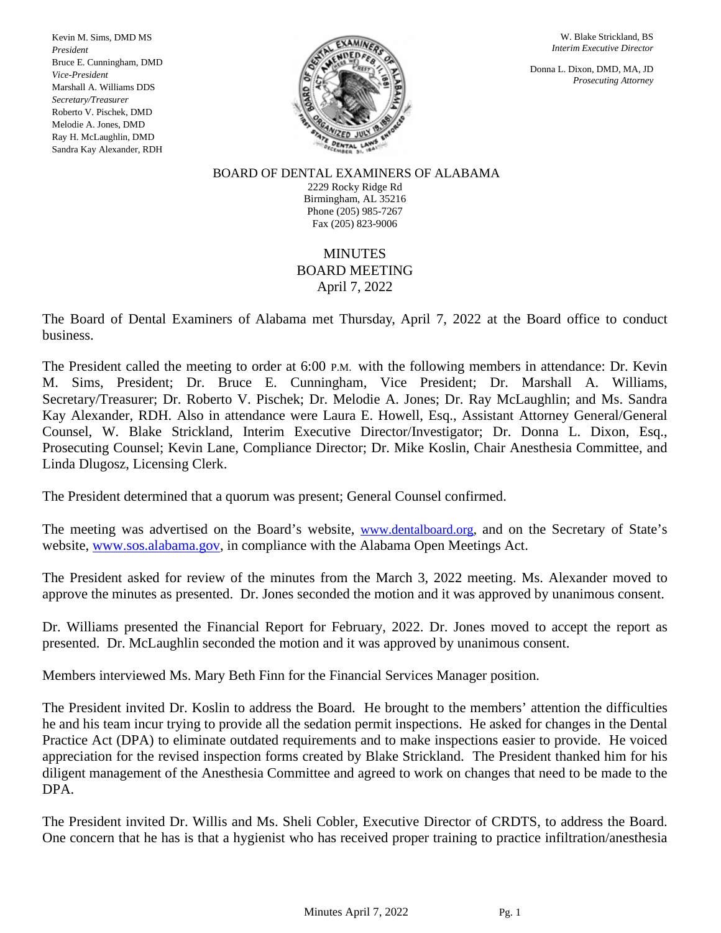Kevin M. Sims, DMD MS *President* Bruce E. Cunningham, DMD *Vice-President* Marshall A. Williams DDS *Secretary/Treasurer* Roberto V. Pischek, DMD Melodie A. Jones, DMD Ray H. McLaughlin, DMD Sandra Kay Alexander, RDH



W. Blake Strickland, BS *Interim Executive Director*

Donna L. Dixon, DMD, MA, JD *Prosecuting Attorney*

BOARD OF DENTAL EXAMINERS OF ALABAMA 2229 Rocky Ridge Rd Birmingham, AL 35216 Phone (205) 985-7267 Fax (205) 823-9006

# MINUTES BOARD MEETING April 7, 2022

The Board of Dental Examiners of Alabama met Thursday, April 7, 2022 at the Board office to conduct business.

The President called the meeting to order at 6:00 P.M. with the following members in attendance: Dr. Kevin M. Sims, President; Dr. Bruce E. Cunningham, Vice President; Dr. Marshall A. Williams, Secretary/Treasurer; Dr. Roberto V. Pischek; Dr. Melodie A. Jones; Dr. Ray McLaughlin; and Ms. Sandra Kay Alexander, RDH. Also in attendance were Laura E. Howell, Esq., Assistant Attorney General/General Counsel, W. Blake Strickland, Interim Executive Director/Investigator; Dr. Donna L. Dixon, Esq., Prosecuting Counsel; Kevin Lane, Compliance Director; Dr. Mike Koslin, Chair Anesthesia Committee, and Linda Dlugosz, Licensing Clerk.

The President determined that a quorum was present; General Counsel confirmed.

The meeting was advertised on the Board's website, [www.dentalboard.org,](http://www.dentalboard.org/) and on the Secretary of State's website, [www.sos.alabama.gov,](http://www.sos.alabama.gov/) in compliance with the Alabama Open Meetings Act.

The President asked for review of the minutes from the March 3, 2022 meeting. Ms. Alexander moved to approve the minutes as presented. Dr. Jones seconded the motion and it was approved by unanimous consent.

Dr. Williams presented the Financial Report for February, 2022. Dr. Jones moved to accept the report as presented. Dr. McLaughlin seconded the motion and it was approved by unanimous consent.

Members interviewed Ms. Mary Beth Finn for the Financial Services Manager position.

The President invited Dr. Koslin to address the Board. He brought to the members' attention the difficulties he and his team incur trying to provide all the sedation permit inspections. He asked for changes in the Dental Practice Act (DPA) to eliminate outdated requirements and to make inspections easier to provide. He voiced appreciation for the revised inspection forms created by Blake Strickland. The President thanked him for his diligent management of the Anesthesia Committee and agreed to work on changes that need to be made to the DPA.

The President invited Dr. Willis and Ms. Sheli Cobler, Executive Director of CRDTS, to address the Board. One concern that he has is that a hygienist who has received proper training to practice infiltration/anesthesia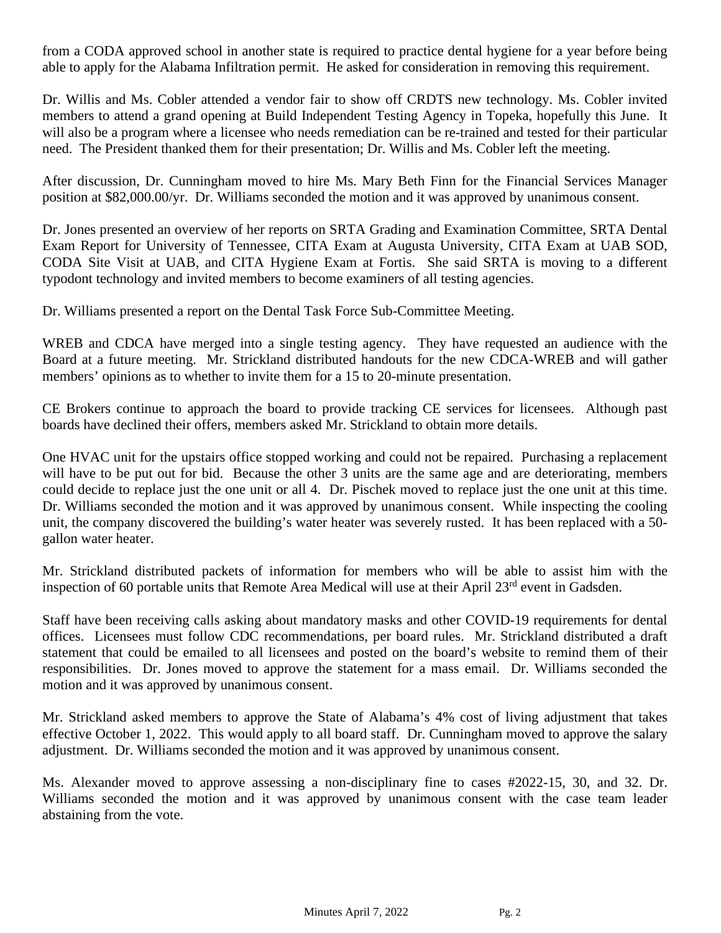from a CODA approved school in another state is required to practice dental hygiene for a year before being able to apply for the Alabama Infiltration permit. He asked for consideration in removing this requirement.

Dr. Willis and Ms. Cobler attended a vendor fair to show off CRDTS new technology. Ms. Cobler invited members to attend a grand opening at Build Independent Testing Agency in Topeka, hopefully this June. It will also be a program where a licensee who needs remediation can be re-trained and tested for their particular need. The President thanked them for their presentation; Dr. Willis and Ms. Cobler left the meeting.

After discussion, Dr. Cunningham moved to hire Ms. Mary Beth Finn for the Financial Services Manager position at \$82,000.00/yr. Dr. Williams seconded the motion and it was approved by unanimous consent.

Dr. Jones presented an overview of her reports on SRTA Grading and Examination Committee, SRTA Dental Exam Report for University of Tennessee, CITA Exam at Augusta University, CITA Exam at UAB SOD, CODA Site Visit at UAB, and CITA Hygiene Exam at Fortis. She said SRTA is moving to a different typodont technology and invited members to become examiners of all testing agencies.

Dr. Williams presented a report on the Dental Task Force Sub-Committee Meeting.

WREB and CDCA have merged into a single testing agency. They have requested an audience with the Board at a future meeting. Mr. Strickland distributed handouts for the new CDCA-WREB and will gather members' opinions as to whether to invite them for a 15 to 20-minute presentation.

CE Brokers continue to approach the board to provide tracking CE services for licensees. Although past boards have declined their offers, members asked Mr. Strickland to obtain more details.

One HVAC unit for the upstairs office stopped working and could not be repaired. Purchasing a replacement will have to be put out for bid. Because the other 3 units are the same age and are deteriorating, members could decide to replace just the one unit or all 4. Dr. Pischek moved to replace just the one unit at this time. Dr. Williams seconded the motion and it was approved by unanimous consent. While inspecting the cooling unit, the company discovered the building's water heater was severely rusted. It has been replaced with a 50 gallon water heater.

Mr. Strickland distributed packets of information for members who will be able to assist him with the inspection of 60 portable units that Remote Area Medical will use at their April 23<sup>rd</sup> event in Gadsden.

Staff have been receiving calls asking about mandatory masks and other COVID-19 requirements for dental offices. Licensees must follow CDC recommendations, per board rules. Mr. Strickland distributed a draft statement that could be emailed to all licensees and posted on the board's website to remind them of their responsibilities. Dr. Jones moved to approve the statement for a mass email. Dr. Williams seconded the motion and it was approved by unanimous consent.

Mr. Strickland asked members to approve the State of Alabama's 4% cost of living adjustment that takes effective October 1, 2022. This would apply to all board staff. Dr. Cunningham moved to approve the salary adjustment. Dr. Williams seconded the motion and it was approved by unanimous consent.

Ms. Alexander moved to approve assessing a non-disciplinary fine to cases #2022-15, 30, and 32. Dr. Williams seconded the motion and it was approved by unanimous consent with the case team leader abstaining from the vote.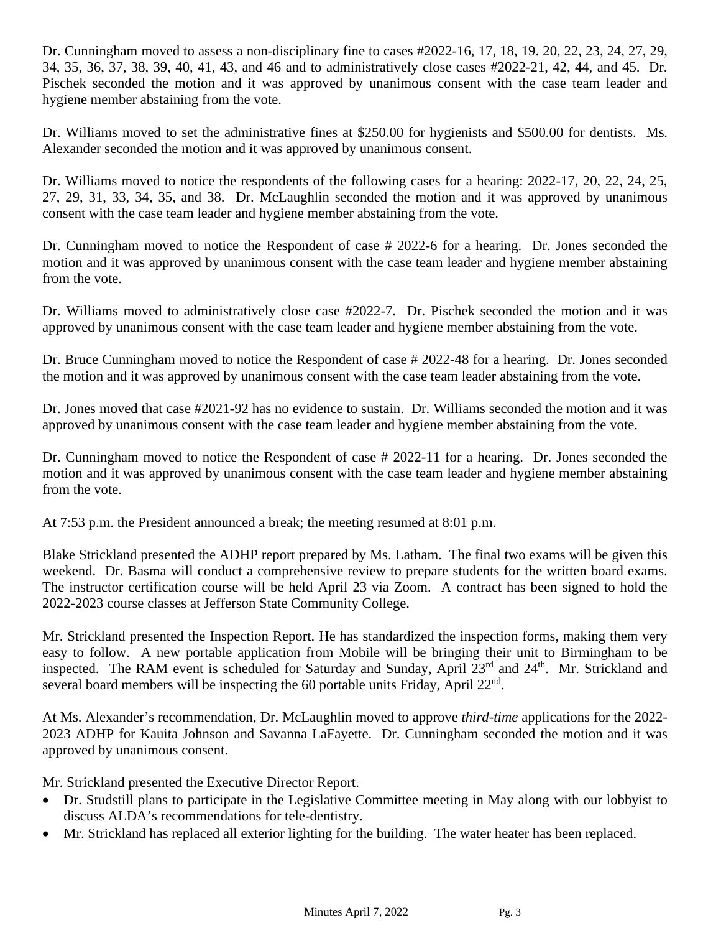Dr. Cunningham moved to assess a non-disciplinary fine to cases #2022-16, 17, 18, 19. 20, 22, 23, 24, 27, 29, 34, 35, 36, 37, 38, 39, 40, 41, 43, and 46 and to administratively close cases #2022-21, 42, 44, and 45. Dr. Pischek seconded the motion and it was approved by unanimous consent with the case team leader and hygiene member abstaining from the vote.

Dr. Williams moved to set the administrative fines at \$250.00 for hygienists and \$500.00 for dentists. Ms. Alexander seconded the motion and it was approved by unanimous consent.

Dr. Williams moved to notice the respondents of the following cases for a hearing: 2022-17, 20, 22, 24, 25, 27, 29, 31, 33, 34, 35, and 38. Dr. McLaughlin seconded the motion and it was approved by unanimous consent with the case team leader and hygiene member abstaining from the vote.

Dr. Cunningham moved to notice the Respondent of case # 2022-6 for a hearing. Dr. Jones seconded the motion and it was approved by unanimous consent with the case team leader and hygiene member abstaining from the vote.

Dr. Williams moved to administratively close case #2022-7. Dr. Pischek seconded the motion and it was approved by unanimous consent with the case team leader and hygiene member abstaining from the vote.

Dr. Bruce Cunningham moved to notice the Respondent of case # 2022-48 for a hearing. Dr. Jones seconded the motion and it was approved by unanimous consent with the case team leader abstaining from the vote.

Dr. Jones moved that case #2021-92 has no evidence to sustain. Dr. Williams seconded the motion and it was approved by unanimous consent with the case team leader and hygiene member abstaining from the vote.

Dr. Cunningham moved to notice the Respondent of case # 2022-11 for a hearing. Dr. Jones seconded the motion and it was approved by unanimous consent with the case team leader and hygiene member abstaining from the vote.

At 7:53 p.m. the President announced a break; the meeting resumed at 8:01 p.m.

Blake Strickland presented the ADHP report prepared by Ms. Latham. The final two exams will be given this weekend. Dr. Basma will conduct a comprehensive review to prepare students for the written board exams. The instructor certification course will be held April 23 via Zoom. A contract has been signed to hold the 2022-2023 course classes at Jefferson State Community College.

Mr. Strickland presented the Inspection Report. He has standardized the inspection forms, making them very easy to follow. A new portable application from Mobile will be bringing their unit to Birmingham to be inspected. The RAM event is scheduled for Saturday and Sunday, April 23<sup>rd</sup> and 24<sup>th</sup>. Mr. Strickland and several board members will be inspecting the 60 portable units Friday, April 22nd.

At Ms. Alexander's recommendation, Dr. McLaughlin moved to approve *third-time* applications for the 2022- 2023 ADHP for Kauita Johnson and Savanna LaFayette. Dr. Cunningham seconded the motion and it was approved by unanimous consent.

Mr. Strickland presented the Executive Director Report.

- Dr. Studstill plans to participate in the Legislative Committee meeting in May along with our lobbyist to discuss ALDA's recommendations for tele-dentistry.
- Mr. Strickland has replaced all exterior lighting for the building. The water heater has been replaced.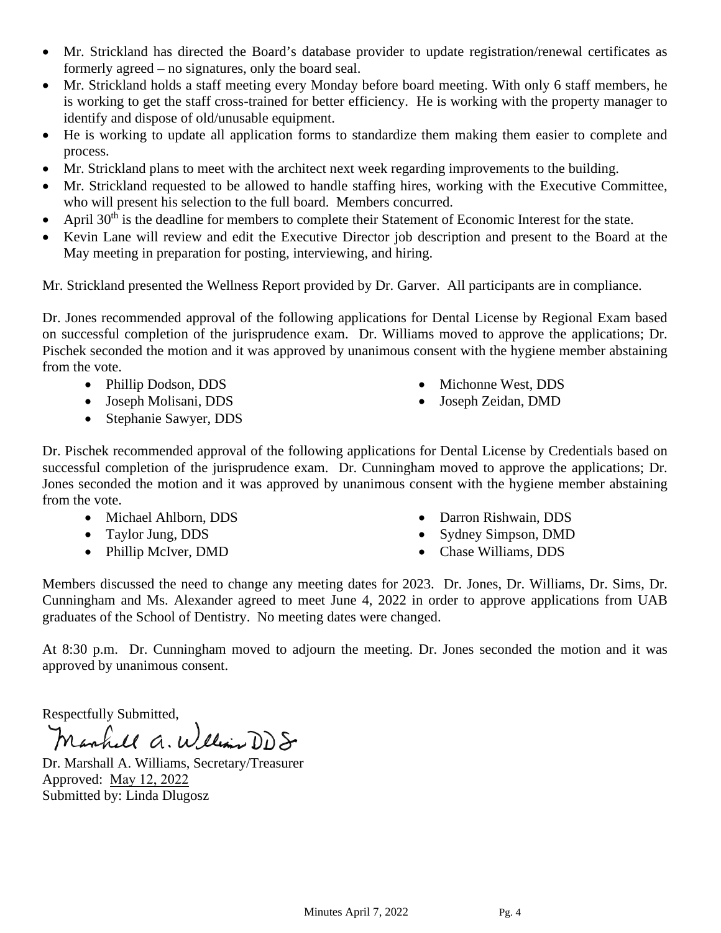- Mr. Strickland has directed the Board's database provider to update registration/renewal certificates as formerly agreed – no signatures, only the board seal.
- Mr. Strickland holds a staff meeting every Monday before board meeting. With only 6 staff members, he is working to get the staff cross-trained for better efficiency. He is working with the property manager to identify and dispose of old/unusable equipment.
- He is working to update all application forms to standardize them making them easier to complete and process.
- Mr. Strickland plans to meet with the architect next week regarding improvements to the building.
- Mr. Strickland requested to be allowed to handle staffing hires, working with the Executive Committee, who will present his selection to the full board. Members concurred.
- April  $30<sup>th</sup>$  is the deadline for members to complete their Statement of Economic Interest for the state.
- Kevin Lane will review and edit the Executive Director job description and present to the Board at the May meeting in preparation for posting, interviewing, and hiring.

Mr. Strickland presented the Wellness Report provided by Dr. Garver. All participants are in compliance.

Dr. Jones recommended approval of the following applications for Dental License by Regional Exam based on successful completion of the jurisprudence exam. Dr. Williams moved to approve the applications; Dr. Pischek seconded the motion and it was approved by unanimous consent with the hygiene member abstaining from the vote.

- Phillip Dodson, DDS
- Joseph Molisani, DDS
- Stephanie Sawyer, DDS
- Michonne West, DDS
- Joseph Zeidan, DMD

Dr. Pischek recommended approval of the following applications for Dental License by Credentials based on successful completion of the jurisprudence exam. Dr. Cunningham moved to approve the applications; Dr. Jones seconded the motion and it was approved by unanimous consent with the hygiene member abstaining from the vote.

- Michael Ahlborn, DDS
- Taylor Jung, DDS
- Phillip McIver, DMD
- Darron Rishwain, DDS
- Sydney Simpson, DMD
- Chase Williams, DDS

Members discussed the need to change any meeting dates for 2023. Dr. Jones, Dr. Williams, Dr. Sims, Dr. Cunningham and Ms. Alexander agreed to meet June 4, 2022 in order to approve applications from UAB graduates of the School of Dentistry. No meeting dates were changed.

At 8:30 p.m. Dr. Cunningham moved to adjourn the meeting. Dr. Jones seconded the motion and it was approved by unanimous consent.

Respectfully Submitted,<br>Manhall a. William DD S

Dr. Marshall A. Williams, Secretary/Treasurer Approved: May 12, 2022 Submitted by: Linda Dlugosz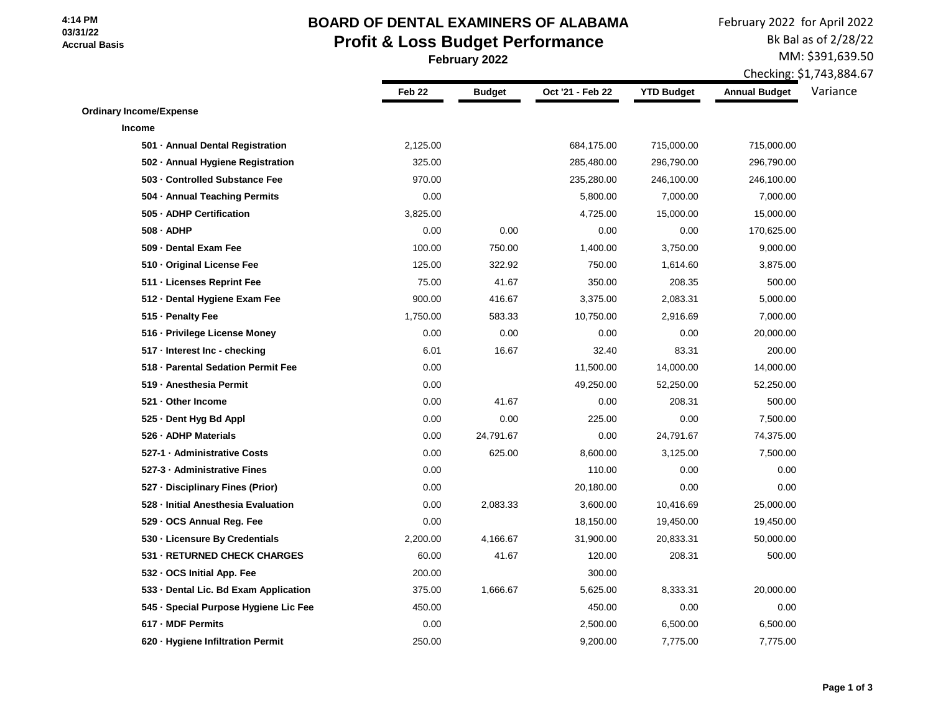### **4:14 PM 03/31/22 Accrual Basis**

# **BOARD OF DENTAL EXAMINERS OF ALABAMA Profit & Loss Budget Performance February 2022**

February 2022 for April 2022 Bk Bal as of 2/28/22

MM: \$391,639.50

Checking: \$1,743,884.67

|                                       | Feb <sub>22</sub> | <b>Budget</b> | Oct '21 - Feb 22 | <b>YTD Budget</b> | <b>Annual Budget</b> | Variance |
|---------------------------------------|-------------------|---------------|------------------|-------------------|----------------------|----------|
| <b>Ordinary Income/Expense</b>        |                   |               |                  |                   |                      |          |
| <b>Income</b>                         |                   |               |                  |                   |                      |          |
| 501 - Annual Dental Registration      | 2,125.00          |               | 684,175.00       | 715,000.00        | 715,000.00           |          |
| 502 - Annual Hygiene Registration     | 325.00            |               | 285,480.00       | 296,790.00        | 296,790.00           |          |
| 503 - Controlled Substance Fee        | 970.00            |               | 235,280.00       | 246,100.00        | 246,100.00           |          |
| 504 - Annual Teaching Permits         | 0.00              |               | 5,800.00         | 7,000.00          | 7,000.00             |          |
| 505 - ADHP Certification              | 3,825.00          |               | 4,725.00         | 15,000.00         | 15,000.00            |          |
| 508 - ADHP                            | 0.00              | 0.00          | 0.00             | 0.00              | 170,625.00           |          |
| 509 - Dental Exam Fee                 | 100.00            | 750.00        | 1,400.00         | 3,750.00          | 9,000.00             |          |
| 510 - Original License Fee            | 125.00            | 322.92        | 750.00           | 1,614.60          | 3,875.00             |          |
| 511 - Licenses Reprint Fee            | 75.00             | 41.67         | 350.00           | 208.35            | 500.00               |          |
| 512 - Dental Hygiene Exam Fee         | 900.00            | 416.67        | 3,375.00         | 2,083.31          | 5,000.00             |          |
| 515 - Penalty Fee                     | 1,750.00          | 583.33        | 10,750.00        | 2,916.69          | 7,000.00             |          |
| 516 - Privilege License Money         | 0.00              | 0.00          | 0.00             | 0.00              | 20,000.00            |          |
| 517 - Interest Inc - checking         | 6.01              | 16.67         | 32.40            | 83.31             | 200.00               |          |
| 518 - Parental Sedation Permit Fee    | 0.00              |               | 11,500.00        | 14,000.00         | 14,000.00            |          |
| 519 - Anesthesia Permit               | 0.00              |               | 49,250.00        | 52,250.00         | 52,250.00            |          |
| 521 - Other Income                    | 0.00              | 41.67         | 0.00             | 208.31            | 500.00               |          |
| 525 - Dent Hyg Bd Appl                | 0.00              | 0.00          | 225.00           | 0.00              | 7,500.00             |          |
| 526 - ADHP Materials                  | 0.00              | 24,791.67     | 0.00             | 24,791.67         | 74,375.00            |          |
| 527-1 - Administrative Costs          | 0.00              | 625.00        | 8,600.00         | 3,125.00          | 7,500.00             |          |
| 527-3 - Administrative Fines          | 0.00              |               | 110.00           | 0.00              | 0.00                 |          |
| 527 - Disciplinary Fines (Prior)      | 0.00              |               | 20,180.00        | 0.00              | 0.00                 |          |
| 528 - Initial Anesthesia Evaluation   | 0.00              | 2,083.33      | 3,600.00         | 10,416.69         | 25,000.00            |          |
| 529 - OCS Annual Reg. Fee             | 0.00              |               | 18,150.00        | 19,450.00         | 19,450.00            |          |
| 530 - Licensure By Credentials        | 2,200.00          | 4,166.67      | 31,900.00        | 20,833.31         | 50,000.00            |          |
| 531 - RETURNED CHECK CHARGES          | 60.00             | 41.67         | 120.00           | 208.31            | 500.00               |          |
| 532 - OCS Initial App. Fee            | 200.00            |               | 300.00           |                   |                      |          |
| 533 - Dental Lic. Bd Exam Application | 375.00            | 1,666.67      | 5,625.00         | 8,333.31          | 20,000.00            |          |
| 545 · Special Purpose Hygiene Lic Fee | 450.00            |               | 450.00           | 0.00              | 0.00                 |          |
| 617 - MDF Permits                     | 0.00              |               | 2,500.00         | 6,500.00          | 6,500.00             |          |
| 620 - Hygiene Infiltration Permit     | 250.00            |               | 9,200.00         | 7,775.00          | 7,775.00             |          |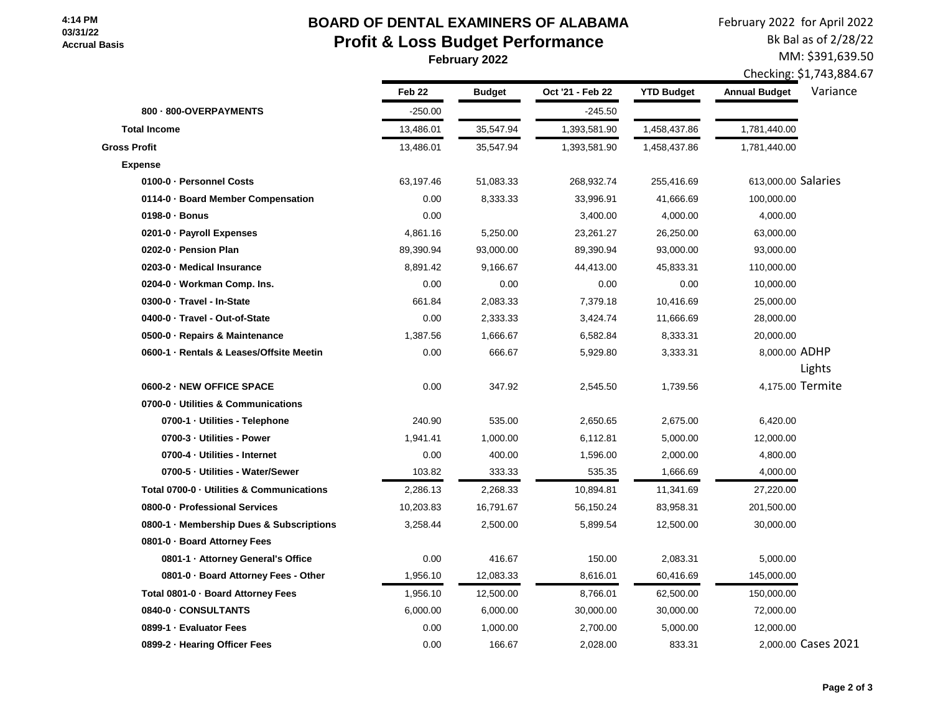### **4:14 PM 03/31/22 Accrual Basis**

# **BOARD OF DENTAL EXAMINERS OF ALABAMA Profit & Loss Budget Performance February 2022**

February 2022 for April 2022 Bk Bal as of 2/28/22 MM: \$391,639.50

Checking: \$1,743,884.67

|                                           | Feb <sub>22</sub> | <b>Budget</b> | Oct '21 - Feb 22 | <b>YTD Budget</b> | <b>Annual Budget</b> | Variance            |
|-------------------------------------------|-------------------|---------------|------------------|-------------------|----------------------|---------------------|
| 800 - 800-OVERPAYMENTS                    | $-250.00$         |               | $-245.50$        |                   |                      |                     |
| <b>Total Income</b>                       | 13,486.01         | 35,547.94     | 1,393,581.90     | 1,458,437.86      | 1,781,440.00         |                     |
| <b>Gross Profit</b>                       | 13,486.01         | 35,547.94     | 1,393,581.90     | 1,458,437.86      | 1,781,440.00         |                     |
| <b>Expense</b>                            |                   |               |                  |                   |                      |                     |
| 0100-0 · Personnel Costs                  | 63,197.46         | 51,083.33     | 268,932.74       | 255,416.69        | 613,000.00 Salaries  |                     |
| 0114-0 · Board Member Compensation        | 0.00              | 8,333.33      | 33,996.91        | 41,666.69         | 100,000.00           |                     |
| 0198-0 · Bonus                            | 0.00              |               | 3,400.00         | 4,000.00          | 4,000.00             |                     |
| 0201-0 · Payroll Expenses                 | 4,861.16          | 5,250.00      | 23,261.27        | 26,250.00         | 63,000.00            |                     |
| 0202-0 · Pension Plan                     | 89,390.94         | 93,000.00     | 89,390.94        | 93,000.00         | 93,000.00            |                     |
| 0203-0 · Medical Insurance                | 8,891.42          | 9,166.67      | 44,413.00        | 45,833.31         | 110,000.00           |                     |
| 0204-0 · Workman Comp. Ins.               | 0.00              | 0.00          | 0.00             | 0.00              | 10,000.00            |                     |
| 0300-0 · Travel - In-State                | 661.84            | 2,083.33      | 7,379.18         | 10,416.69         | 25,000.00            |                     |
| 0400-0 · Travel - Out-of-State            | 0.00              | 2,333.33      | 3,424.74         | 11,666.69         | 28,000.00            |                     |
| 0500-0 · Repairs & Maintenance            | 1,387.56          | 1,666.67      | 6,582.84         | 8,333.31          | 20,000.00            |                     |
| 0600-1 · Rentals & Leases/Offsite Meetin  | 0.00              | 666.67        | 5,929.80         | 3,333.31          | 8,000.00 ADHP        |                     |
|                                           |                   |               |                  |                   |                      | Lights              |
| 0600-2 - NEW OFFICE SPACE                 | 0.00              | 347.92        | 2,545.50         | 1,739.56          |                      | 4,175.00 Termite    |
| 0700-0 - Utilities & Communications       |                   |               |                  |                   |                      |                     |
| 0700-1 · Utilities - Telephone            | 240.90            | 535.00        | 2,650.65         | 2,675.00          | 6,420.00             |                     |
| 0700-3 - Utilities - Power                | 1,941.41          | 1,000.00      | 6,112.81         | 5,000.00          | 12,000.00            |                     |
| 0700-4 · Utilities - Internet             | 0.00              | 400.00        | 1,596.00         | 2,000.00          | 4,800.00             |                     |
| 0700-5 · Utilities - Water/Sewer          | 103.82            | 333.33        | 535.35           | 1,666.69          | 4,000.00             |                     |
| Total 0700-0 · Utilities & Communications | 2,286.13          | 2,268.33      | 10,894.81        | 11,341.69         | 27,220.00            |                     |
| 0800-0 · Professional Services            | 10,203.83         | 16,791.67     | 56,150.24        | 83,958.31         | 201,500.00           |                     |
| 0800-1 · Membership Dues & Subscriptions  | 3,258.44          | 2,500.00      | 5,899.54         | 12,500.00         | 30,000.00            |                     |
| 0801-0 · Board Attorney Fees              |                   |               |                  |                   |                      |                     |
| 0801-1 · Attorney General's Office        | 0.00              | 416.67        | 150.00           | 2,083.31          | 5,000.00             |                     |
| 0801-0 · Board Attorney Fees - Other      | 1,956.10          | 12,083.33     | 8,616.01         | 60,416.69         | 145,000.00           |                     |
| Total 0801-0 · Board Attorney Fees        | 1,956.10          | 12,500.00     | 8,766.01         | 62,500.00         | 150,000.00           |                     |
| 0840-0 - CONSULTANTS                      | 6,000.00          | 6,000.00      | 30,000.00        | 30,000.00         | 72,000.00            |                     |
| 0899-1 · Evaluator Fees                   | 0.00              | 1,000.00      | 2,700.00         | 5,000.00          | 12,000.00            |                     |
| 0899-2 · Hearing Officer Fees             | 0.00              | 166.67        | 2,028.00         | 833.31            |                      | 2,000.00 Cases 2021 |